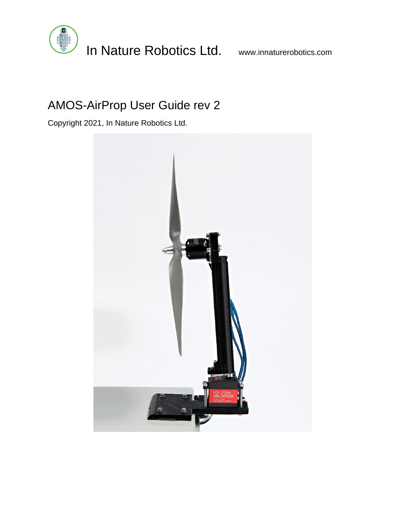

# AMOS-AirProp User Guide rev 2

Copyright 2021, In Nature Robotics Ltd.

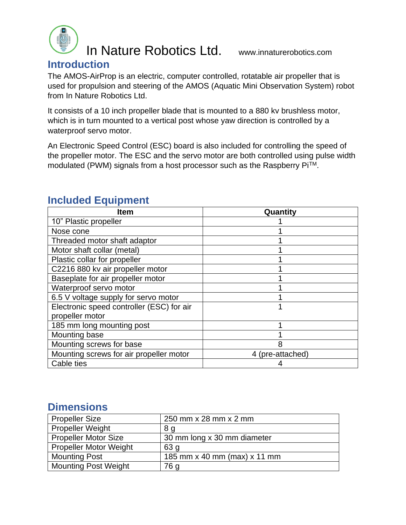

In Nature Robotics Ltd. www.innaturerobotics.com

#### **Introduction**

The AMOS-AirProp is an electric, computer controlled, rotatable air propeller that is used for propulsion and steering of the AMOS (Aquatic Mini Observation System) robot from In Nature Robotics Ltd.

It consists of a 10 inch propeller blade that is mounted to a 880 kv brushless motor, which is in turn mounted to a vertical post whose yaw direction is controlled by a waterproof servo motor.

An Electronic Speed Control (ESC) board is also included for controlling the speed of the propeller motor. The ESC and the servo motor are both controlled using pulse width modulated (PWM) signals from a host processor such as the Raspberry PiTM.

| Item                                      | Quantity         |
|-------------------------------------------|------------------|
| 10" Plastic propeller                     |                  |
| Nose cone                                 |                  |
| Threaded motor shaft adaptor              |                  |
| Motor shaft collar (metal)                |                  |
| Plastic collar for propeller              |                  |
| C2216 880 kv air propeller motor          |                  |
| Baseplate for air propeller motor         |                  |
| Waterproof servo motor                    |                  |
| 6.5 V voltage supply for servo motor      |                  |
| Electronic speed controller (ESC) for air |                  |
| propeller motor                           |                  |
| 185 mm long mounting post                 |                  |
| Mounting base                             |                  |
| Mounting screws for base                  | 8                |
| Mounting screws for air propeller motor   | 4 (pre-attached) |
| Cable ties                                |                  |

### **Included Equipment**

#### **Dimensions**

| <b>Propeller Size</b>         | 250 mm x 28 mm x 2 mm        |
|-------------------------------|------------------------------|
| <b>Propeller Weight</b>       | 8 <sub>q</sub>               |
| <b>Propeller Motor Size</b>   | 30 mm long x 30 mm diameter  |
| <b>Propeller Motor Weight</b> | 63 g                         |
| <b>Mounting Post</b>          | 185 mm x 40 mm (max) x 11 mm |
| <b>Mounting Post Weight</b>   | 76 g                         |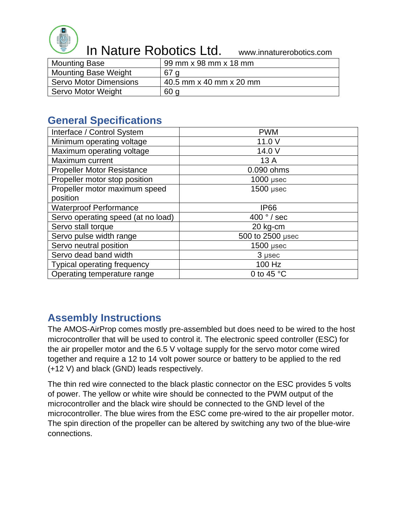

# In Nature Robotics Ltd. www.innaturerobotics.com

| <b>Mounting Base</b>          | 99 mm x 98 mm x 18 mm   |
|-------------------------------|-------------------------|
| <b>Mounting Base Weight</b>   | 67 a                    |
| <b>Servo Motor Dimensions</b> | 40.5 mm x 40 mm x 20 mm |
| Servo Motor Weight            | 60 g                    |

### **General Specifications**

| Interface / Control System         | <b>PWM</b>          |
|------------------------------------|---------------------|
| Minimum operating voltage          | 11.0 V              |
| Maximum operating voltage          | 14.0 V              |
| Maximum current                    | 13 A                |
| <b>Propeller Motor Resistance</b>  | 0.090 ohms          |
| Propeller motor stop position      | $1000$ µsec         |
| Propeller motor maximum speed      | $1500$ µsec         |
| position                           |                     |
| <b>Waterproof Performance</b>      | <b>IP66</b>         |
| Servo operating speed (at no load) | 400 $\degree$ / sec |
| Servo stall torque                 | 20 kg-cm            |
| Servo pulse width range            | 500 to 2500 µsec    |
| Servo neutral position             | $1500$ µsec         |
| Servo dead band width              | 3 µsec              |
| <b>Typical operating frequency</b> | 100 Hz              |
| Operating temperature range        | 0 to 45 $\degree$ C |

## **Assembly Instructions**

The AMOS-AirProp comes mostly pre-assembled but does need to be wired to the host microcontroller that will be used to control it. The electronic speed controller (ESC) for the air propeller motor and the 6.5 V voltage supply for the servo motor come wired together and require a 12 to 14 volt power source or battery to be applied to the red (+12 V) and black (GND) leads respectively.

The thin red wire connected to the black plastic connector on the ESC provides 5 volts of power. The yellow or white wire should be connected to the PWM output of the microcontroller and the black wire should be connected to the GND level of the microcontroller. The blue wires from the ESC come pre-wired to the air propeller motor. The spin direction of the propeller can be altered by switching any two of the blue-wire connections.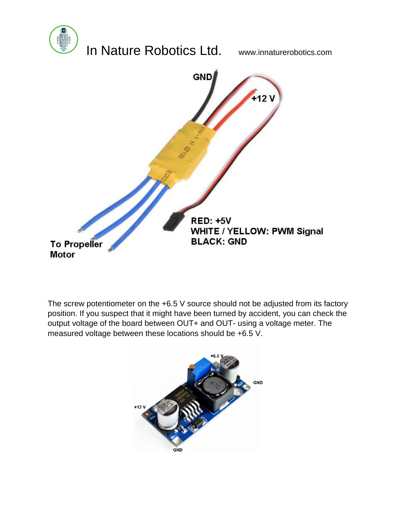

The screw potentiometer on the +6.5 V source should not be adjusted from its factory position. If you suspect that it might have been turned by accident, you can check the output voltage of the board between OUT+ and OUT- using a voltage meter. The measured voltage between these locations should be +6.5 V.